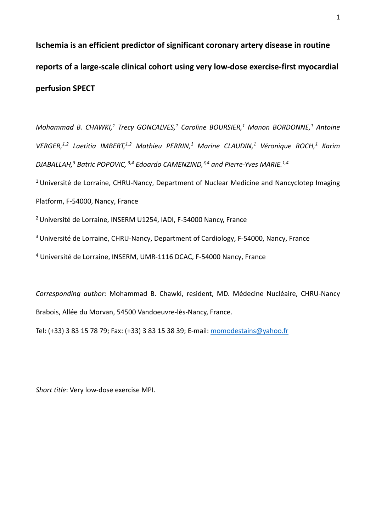**Ischemia is an efficient predictor of significant coronary artery disease in routine reports of a large-scale clinical cohort using very low-dose exercise-first myocardial perfusion SPECT**

*Mohammad B. CHAWKI,1 Trecy GONCALVES,1 Caroline BOURSIER,1 Manon BORDONNE,1 Antoine VERGER,1,2 Laetitia IMBERT,1,2 Mathieu PERRIN,1 Marine CLAUDIN,1 Véronique ROCH,1 Karim DJABALLAH,3 Batric POPOVIC, 3,4 Edoardo CAMENZIND,3,4 and Pierre-Yves MARIE.1,4*

 $1$  Université de Lorraine, CHRU-Nancy, Department of Nuclear Medicine and Nancyclotep Imaging Platform, F-54000, Nancy, France

2 Université de Lorraine, INSERM U1254, IADI, F-54000 Nancy, France

<sup>3</sup> Université de Lorraine, CHRU-Nancy, Department of Cardiology, F-54000, Nancy, France

<sup>4</sup> Université de Lorraine, INSERM, UMR-1116 DCAC, F-54000 Nancy, France

*Corresponding author:* Mohammad B. Chawki, resident, MD. Médecine Nucléaire, CHRU-Nancy Brabois, Allée du Morvan, 54500 Vandoeuvre-lès-Nancy, France.

Tel: (+33) 3 83 15 78 79; Fax: (+33) 3 83 15 38 39; E-mail: [momodestains@yahoo.fr](mailto:momodestains@yahoo.fr)

*Short title*: Very low-dose exercise MPI.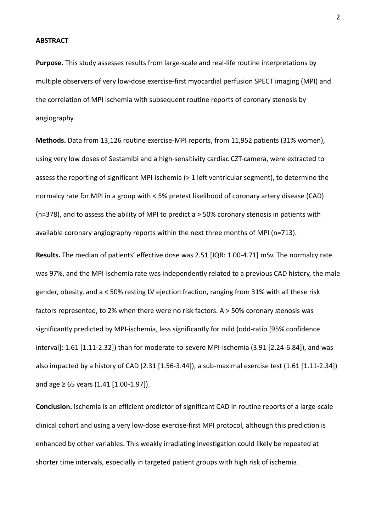#### **ABSTRACT**

**Purpose.** This study assesses results from large-scale and real-life routine interpretations by multiple observers of very low-dose exercise-first myocardial perfusion SPECT imaging (MPI) and the correlation of MPI ischemia with subsequent routine reports of coronary stenosis by angiography.

**Methods.** Data from 13,126 routine exercise-MPI reports, from 11,952 patients (31% women), using very low doses of Sestamibi and a high-sensitivity cardiac CZT-camera, were extracted to assess the reporting of significant MPI-ischemia (> 1 left ventricular segment), to determine the normalcy rate for MPI in a group with < 5% pretest likelihood of coronary artery disease (CAD) (n=378), and to assess the ability of MPI to predict a > 50% coronary stenosis in patients with available coronary angiography reports within the next three months of MPI (n=713).

**Results.** The median of patients' effective dose was 2.51 [IQR: 1.00-4.71] mSv. The normalcy rate was 97%, and the MPI-ischemia rate was independently related to a previous CAD history, the male gender, obesity, and a < 50% resting LV ejection fraction, ranging from 31% with all these risk factors represented, to 2% when there were no risk factors. A > 50% coronary stenosis was significantly predicted by MPI-ischemia, less significantly for mild (odd-ratio [95% confidence interval]: 1.61 [1.11-2.32]) than for moderate-to-severe MPI-ischemia (3.91 [2.24-6.84]), and was also impacted by a history of CAD (2.31 [1.56-3.44]), a sub-maximal exercise test (1.61 [1.11-2.34]) and age  $\geq 65$  years (1.41 [1.00-1.97]).

**Conclusion.** Ischemia is an efficient predictor of significant CAD in routine reports of a large-scale clinical cohort and using a very low-dose exercise-first MPI protocol, although this prediction is enhanced by other variables. This weakly irradiating investigation could likely be repeated at shorter time intervals, especially in targeted patient groups with high risk of ischemia.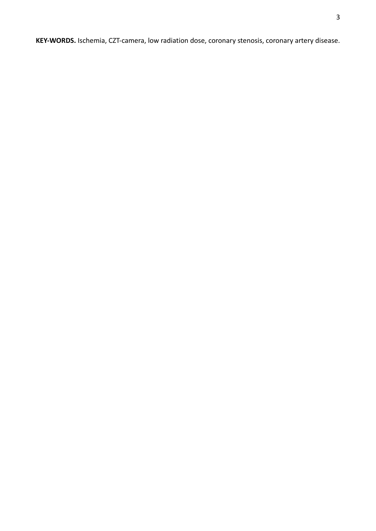**KEY-WORDS.** Ischemia, CZT-camera, low radiation dose, coronary stenosis, coronary artery disease.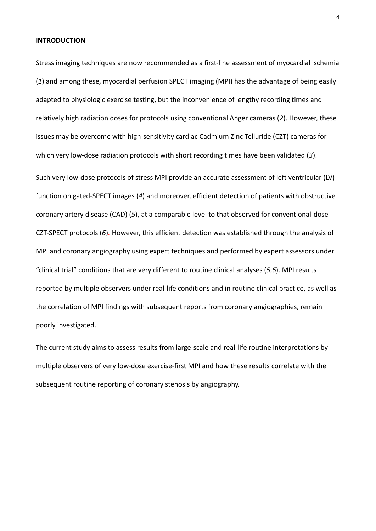#### **INTRODUCTION**

Stress imaging techniques are now recommended as a first-line assessment of myocardial ischemia (*1*) and among these, myocardial perfusion SPECT imaging (MPI) has the advantage of being easily adapted to physiologic exercise testing, but the inconvenience of lengthy recording times and relatively high radiation doses for protocols using conventional Anger cameras (*2*). However, these issues may be overcome with high-sensitivity cardiac Cadmium Zinc Telluride (CZT) cameras for which very low-dose radiation protocols with short recording times have been validated (*3*).

Such very low-dose protocols of stress MPI provide an accurate assessment of left ventricular (LV) function on gated-SPECT images (*4*) and moreover, efficient detection of patients with obstructive coronary artery disease (CAD) (*5*), at a comparable level to that observed for conventional-dose CZT-SPECT protocols (*6*)*.* However, this efficient detection was established through the analysis of MPI and coronary angiography using expert techniques and performed by expert assessors under "clinical trial" conditions that are very different to routine clinical analyses (*5*,*6*). MPI results reported by multiple observers under real-life conditions and in routine clinical practice, as well as the correlation of MPI findings with subsequent reports from coronary angiographies, remain poorly investigated.

The current study aims to assess results from large-scale and real-life routine interpretations by multiple observers of very low-dose exercise-first MPI and how these results correlate with the subsequent routine reporting of coronary stenosis by angiography.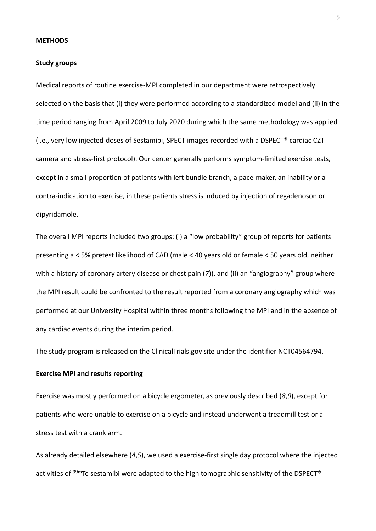#### **METHODS**

#### **Study groups**

Medical reports of routine exercise-MPI completed in our department were retrospectively selected on the basis that (i) they were performed according to a standardized model and (ii) in the time period ranging from April 2009 to July 2020 during which the same methodology was applied (i.e., very low injected-doses of Sestamibi, SPECT images recorded with a DSPECT® cardiac CZTcamera and stress-first protocol). Our center generally performs symptom-limited exercise tests, except in a small proportion of patients with left bundle branch, a pace-maker, an inability or a contra-indication to exercise, in these patients stress is induced by injection of regadenoson or dipyridamole.

The overall MPI reports included two groups: (i) a "low probability" group of reports for patients presenting a < 5% pretest likelihood of CAD (male < 40 years old or female < 50 years old, neither with a history of coronary artery disease or chest pain (*7*)), and (ii) an "angiography" group where the MPI result could be confronted to the result reported from a coronary angiography which was performed at our University Hospital within three months following the MPI and in the absence of any cardiac events during the interim period.

The study program is released on the ClinicalTrials.gov site under the identifier NCT04564794.

### **Exercise MPI and results reporting**

Exercise was mostly performed on a bicycle ergometer, as previously described (*8*,*9*), except for patients who were unable to exercise on a bicycle and instead underwent a treadmill test or a stress test with a crank arm.

As already detailed elsewhere (*4*,*5*), we used a exercise-first single day protocol where the injected activities of  $99m$ Tc-sestamibi were adapted to the high tomographic sensitivity of the DSPECT®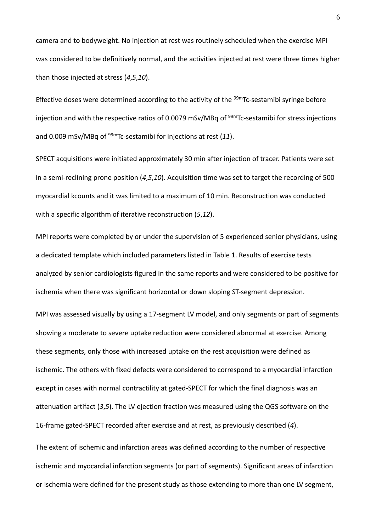camera and to bodyweight. No injection at rest was routinely scheduled when the exercise MPI was considered to be definitively normal, and the activities injected at rest were three times higher than those injected at stress (*4*,*5*,*10*).

Effective doses were determined according to the activity of the <sup>99m</sup>Tc-sestamibi syringe before injection and with the respective ratios of 0.0079 mSv/MBq of  $99mTc$ -sestamibi for stress injections and 0.009 mSv/MBq of 99mTc-sestamibi for injections at rest (*11*).

SPECT acquisitions were initiated approximately 30 min after injection of tracer. Patients were set in a semi-reclining prone position (*4*,*5*,*10*). Acquisition time was set to target the recording of 500 myocardial kcounts and it was limited to a maximum of 10 min. Reconstruction was conducted with a specific algorithm of iterative reconstruction (*5*,*12*).

MPI reports were completed by or under the supervision of 5 experienced senior physicians, using a dedicated template which included parameters listed in Table 1. Results of exercise tests analyzed by senior cardiologists figured in the same reports and were considered to be positive for ischemia when there was significant horizontal or down sloping ST-segment depression.

MPI was assessed visually by using a 17-segment LV model, and only segments or part of segments showing a moderate to severe uptake reduction were considered abnormal at exercise. Among these segments, only those with increased uptake on the rest acquisition were defined as ischemic. The others with fixed defects were considered to correspond to a myocardial infarction except in cases with normal contractility at gated-SPECT for which the final diagnosis was an attenuation artifact (*3*,*5*). The LV ejection fraction was measured using the QGS software on the 16-frame gated-SPECT recorded after exercise and at rest, as previously described (*4*).

The extent of ischemic and infarction areas was defined according to the number of respective ischemic and myocardial infarction segments (or part of segments). Significant areas of infarction or ischemia were defined for the present study as those extending to more than one LV segment,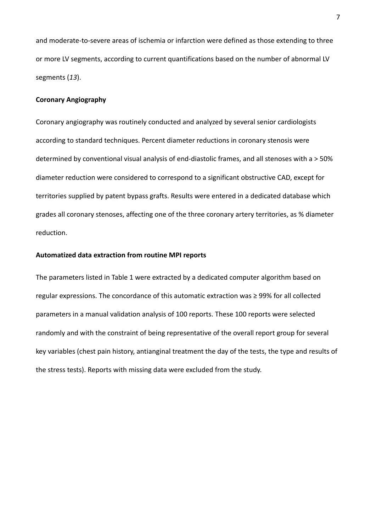and moderate-to-severe areas of ischemia or infarction were defined as those extending to three or more LV segments, according to current quantifications based on the number of abnormal LV segments (*13*).

## **Coronary Angiography**

Coronary angiography was routinely conducted and analyzed by several senior cardiologists according to standard techniques. Percent diameter reductions in coronary stenosis were determined by conventional visual analysis of end-diastolic frames, and all stenoses with a > 50% diameter reduction were considered to correspond to a significant obstructive CAD, except for territories supplied by patent bypass grafts. Results were entered in a dedicated database which grades all coronary stenoses, affecting one of the three coronary artery territories, as % diameter reduction.

## **Automatized data extraction from routine MPI reports**

The parameters listed in Table 1 were extracted by a dedicated computer algorithm based on regular expressions. The concordance of this automatic extraction was ≥ 99% for all collected parameters in a manual validation analysis of 100 reports. These 100 reports were selected randomly and with the constraint of being representative of the overall report group for several key variables (chest pain history, antianginal treatment the day of the tests, the type and results of the stress tests). Reports with missing data were excluded from the study.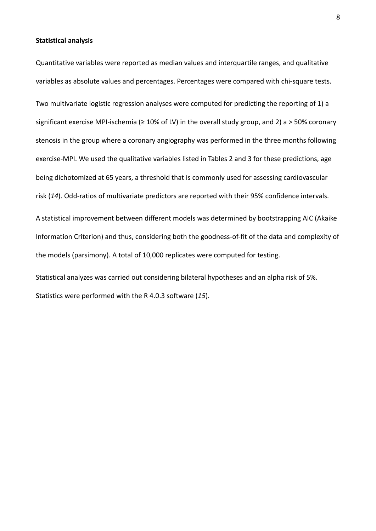#### **Statistical analysis**

Quantitative variables were reported as median values and interquartile ranges, and qualitative variables as absolute values and percentages. Percentages were compared with chi-square tests. Two multivariate logistic regression analyses were computed for predicting the reporting of 1) a significant exercise MPI-ischemia (≥ 10% of LV) in the overall study group, and 2) a > 50% coronary stenosis in the group where a coronary angiography was performed in the three months following exercise-MPI. We used the qualitative variables listed in Tables 2 and 3 for these predictions, age being dichotomized at 65 years, a threshold that is commonly used for assessing cardiovascular risk (*14*). Odd-ratios of multivariate predictors are reported with their 95% confidence intervals.

A statistical improvement between different models was determined by bootstrapping AIC (Akaike Information Criterion) and thus, considering both the goodness-of-fit of the data and complexity of the models (parsimony). A total of 10,000 replicates were computed for testing.

Statistical analyzes was carried out considering bilateral hypotheses and an alpha risk of 5%. Statistics were performed with the R 4.0.3 software (*15*).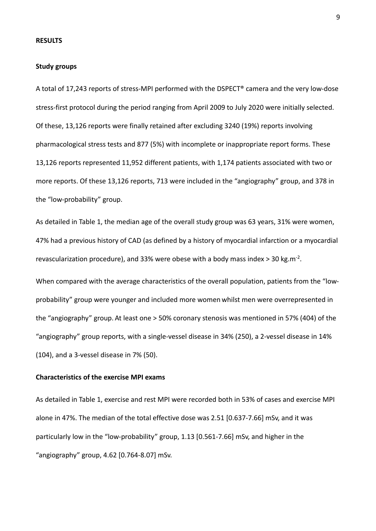#### **RESULTS**

#### **Study groups**

A total of 17,243 reports of stress-MPI performed with the DSPECT® camera and the very low-dose stress-first protocol during the period ranging from April 2009 to July 2020 were initially selected. Of these, 13,126 reports were finally retained after excluding 3240 (19%) reports involving pharmacological stress tests and 877 (5%) with incomplete or inappropriate report forms. These 13,126 reports represented 11,952 different patients, with 1,174 patients associated with two or more reports. Of these 13,126 reports, 713 were included in the "angiography" group, and 378 in the "low-probability" group.

As detailed in Table 1, the median age of the overall study group was 63 years, 31% were women, 47% had a previous history of CAD (as defined by a history of myocardial infarction or a myocardial revascularization procedure), and 33% were obese with a body mass index > 30 kg.m-2.

When compared with the average characteristics of the overall population, patients from the "lowprobability" group were younger and included more women whilst men were overrepresented in the "angiography" group. At least one > 50% coronary stenosis was mentioned in 57% (404) of the "angiography" group reports, with a single-vessel disease in 34% (250), a 2-vessel disease in 14% (104), and a 3-vessel disease in 7% (50).

## **Characteristics of the exercise MPI exams**

As detailed in Table 1, exercise and rest MPI were recorded both in 53% of cases and exercise MPI alone in 47%. The median of the total effective dose was 2.51 [0.637-7.66] mSv, and it was particularly low in the "low-probability" group, 1.13 [0.561-7.66] mSv, and higher in the "angiography" group, 4.62 [0.764-8.07] mSv.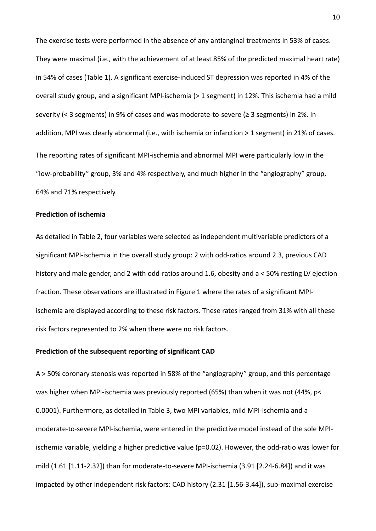The exercise tests were performed in the absence of any antianginal treatments in 53% of cases. They were maximal (i.e., with the achievement of at least 85% of the predicted maximal heart rate) in 54% of cases (Table 1). A significant exercise-induced ST depression was reported in 4% of the overall study group, and a significant MPI-ischemia (> 1 segment) in 12%. This ischemia had a mild severity (< 3 segments) in 9% of cases and was moderate-to-severe (≥ 3 segments) in 2%. In addition, MPI was clearly abnormal (i.e., with ischemia or infarction > 1 segment) in 21% of cases. The reporting rates of significant MPI-ischemia and abnormal MPI were particularly low in the "low-probability" group, 3% and 4% respectively, and much higher in the "angiography" group, 64% and 71% respectively.

## **Prediction of ischemia**

As detailed in Table 2, four variables were selected as independent multivariable predictors of a significant MPI-ischemia in the overall study group: 2 with odd-ratios around 2.3, previous CAD history and male gender, and 2 with odd-ratios around 1.6, obesity and a < 50% resting LV ejection fraction. These observations are illustrated in Figure 1 where the rates of a significant MPIischemia are displayed according to these risk factors. These rates ranged from 31% with all these risk factors represented to 2% when there were no risk factors.

### **Prediction of the subsequent reporting of significant CAD**

A > 50% coronary stenosis was reported in 58% of the "angiography" group, and this percentage was higher when MPI-ischemia was previously reported (65%) than when it was not (44%, p< 0.0001). Furthermore, as detailed in Table 3, two MPI variables, mild MPI-ischemia and a moderate-to-severe MPI-ischemia, were entered in the predictive model instead of the sole MPIischemia variable, yielding a higher predictive value (p=0.02). However, the odd-ratio was lower for mild (1.61 [1.11-2.32]) than for moderate-to-severe MPI-ischemia (3.91 [2.24-6.84]) and it was impacted by other independent risk factors: CAD history (2.31 [1.56-3.44]), sub-maximal exercise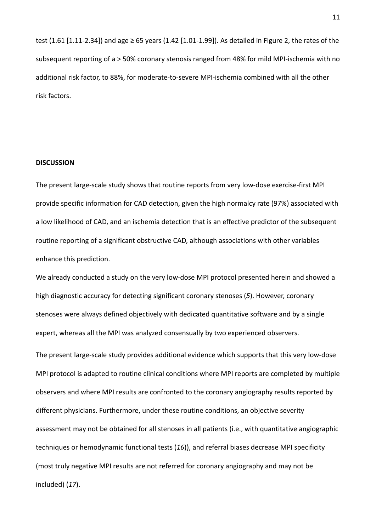test (1.61 [1.11-2.34]) and age ≥ 65 years (1.42 [1.01-1.99]). As detailed in Figure 2, the rates of the subsequent reporting of a > 50% coronary stenosis ranged from 48% for mild MPI-ischemia with no additional risk factor, to 88%, for moderate-to-severe MPI-ischemia combined with all the other risk factors.

#### **DISCUSSION**

The present large-scale study shows that routine reports from very low-dose exercise-first MPI provide specific information for CAD detection, given the high normalcy rate (97%) associated with a low likelihood of CAD, and an ischemia detection that is an effective predictor of the subsequent routine reporting of a significant obstructive CAD, although associations with other variables enhance this prediction.

We already conducted a study on the very low-dose MPI protocol presented herein and showed a high diagnostic accuracy for detecting significant coronary stenoses (*5*). However, coronary stenoses were always defined objectively with dedicated quantitative software and by a single expert, whereas all the MPI was analyzed consensually by two experienced observers.

The present large-scale study provides additional evidence which supports that this very low-dose MPI protocol is adapted to routine clinical conditions where MPI reports are completed by multiple observers and where MPI results are confronted to the coronary angiography results reported by different physicians. Furthermore, under these routine conditions, an objective severity assessment may not be obtained for all stenoses in all patients (i.e., with quantitative angiographic techniques or hemodynamic functional tests (*16*)), and referral biases decrease MPI specificity (most truly negative MPI results are not referred for coronary angiography and may not be included) (*17*).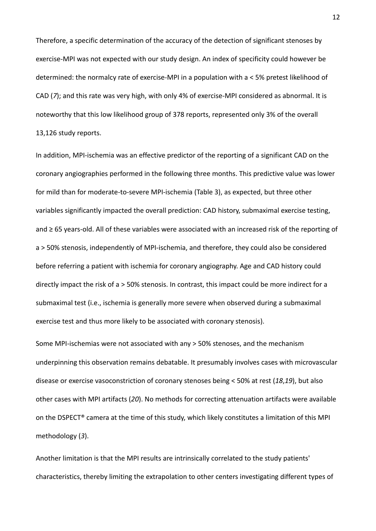Therefore, a specific determination of the accuracy of the detection of significant stenoses by exercise-MPI was not expected with our study design. An index of specificity could however be determined: the normalcy rate of exercise-MPI in a population with a < 5% pretest likelihood of CAD (*7*); and this rate was very high, with only 4% of exercise-MPI considered as abnormal. It is noteworthy that this low likelihood group of 378 reports, represented only 3% of the overall 13,126 study reports.

In addition, MPI-ischemia was an effective predictor of the reporting of a significant CAD on the coronary angiographies performed in the following three months. This predictive value was lower for mild than for moderate-to-severe MPI-ischemia (Table 3), as expected, but three other variables significantly impacted the overall prediction: CAD history, submaximal exercise testing, and ≥ 65 years-old. All of these variables were associated with an increased risk of the reporting of a > 50% stenosis, independently of MPI-ischemia, and therefore, they could also be considered before referring a patient with ischemia for coronary angiography. Age and CAD history could directly impact the risk of a > 50% stenosis. In contrast, this impact could be more indirect for a submaximal test (i.e., ischemia is generally more severe when observed during a submaximal exercise test and thus more likely to be associated with coronary stenosis).

Some MPI-ischemias were not associated with any > 50% stenoses, and the mechanism underpinning this observation remains debatable. It presumably involves cases with microvascular disease or exercise vasoconstriction of coronary stenoses being < 50% at rest (*18*,*19*), but also other cases with MPI artifacts (*20*). No methods for correcting attenuation artifacts were available on the DSPECT® camera at the time of this study, which likely constitutes a limitation of this MPI methodology (*3*).

Another limitation is that the MPI results are intrinsically correlated to the study patients' characteristics, thereby limiting the extrapolation to other centers investigating different types of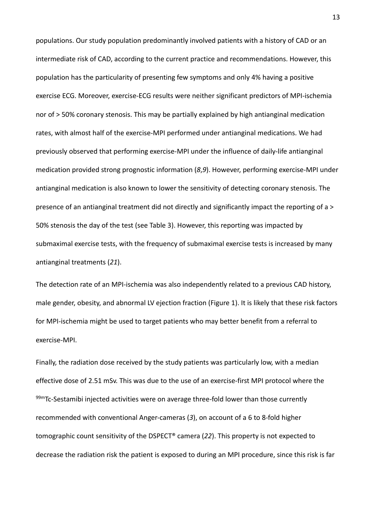populations. Our study population predominantly involved patients with a history of CAD or an intermediate risk of CAD, according to the current practice and recommendations. However, this population has the particularity of presenting few symptoms and only 4% having a positive exercise ECG. Moreover, exercise-ECG results were neither significant predictors of MPI-ischemia nor of > 50% coronary stenosis. This may be partially explained by high antianginal medication rates, with almost half of the exercise-MPI performed under antianginal medications. We had previously observed that performing exercise-MPI under the influence of daily-life antianginal medication provided strong prognostic information (*8*,*9*). However, performing exercise-MPI under antianginal medication is also known to lower the sensitivity of detecting coronary stenosis. The presence of an antianginal treatment did not directly and significantly impact the reporting of a > 50% stenosis the day of the test (see Table 3). However, this reporting was impacted by submaximal exercise tests, with the frequency of submaximal exercise tests is increased by many antianginal treatments (*21*).

The detection rate of an MPI-ischemia was also independently related to a previous CAD history, male gender, obesity, and abnormal LV ejection fraction (Figure 1). It is likely that these risk factors for MPI-ischemia might be used to target patients who may better benefit from a referral to exercise-MPI.

Finally, the radiation dose received by the study patients was particularly low, with a median effective dose of 2.51 mSv. This was due to the use of an exercise-first MPI protocol where the 99mTc-Sestamibi injected activities were on average three-fold lower than those currently recommended with conventional Anger-cameras (*3*), on account of a 6 to 8-fold higher tomographic count sensitivity of the DSPECT® camera (*22*). This property is not expected to decrease the radiation risk the patient is exposed to during an MPI procedure, since this risk is far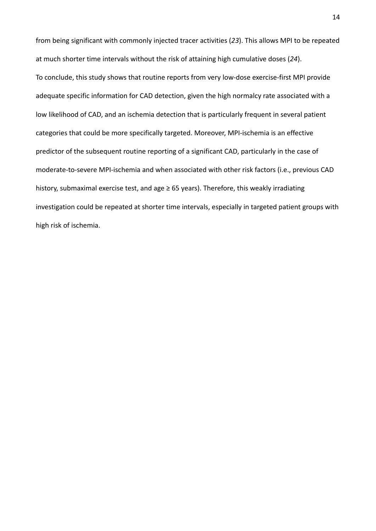from being significant with commonly injected tracer activities (*23*). This allows MPI to be repeated at much shorter time intervals without the risk of attaining high cumulative doses (*24*). To conclude, this study shows that routine reports from very low-dose exercise-first MPI provide adequate specific information for CAD detection, given the high normalcy rate associated with a low likelihood of CAD, and an ischemia detection that is particularly frequent in several patient categories that could be more specifically targeted. Moreover, MPI-ischemia is an effective predictor of the subsequent routine reporting of a significant CAD, particularly in the case of moderate-to-severe MPI-ischemia and when associated with other risk factors (i.e., previous CAD history, submaximal exercise test, and age ≥ 65 years). Therefore, this weakly irradiating investigation could be repeated at shorter time intervals, especially in targeted patient groups with high risk of ischemia.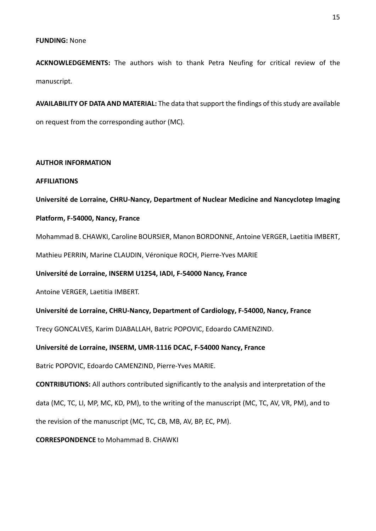## **FUNDING:** None

**ACKNOWLEDGEMENTS:** The authors wish to thank Petra Neufing for critical review of the manuscript.

**AVAILABILITY OF DATA AND MATERIAL:** The data that support the findings of this study are available on request from the corresponding author (MC).

### **AUTHOR INFORMATION**

### **AFFILIATIONS**

**Université de Lorraine, CHRU-Nancy, Department of Nuclear Medicine and Nancyclotep Imaging** 

## **Platform, F-54000, Nancy, France**

Mohammad B. CHAWKI, Caroline BOURSIER, Manon BORDONNE, Antoine VERGER, Laetitia IMBERT,

Mathieu PERRIN, Marine CLAUDIN, Véronique ROCH, Pierre-Yves MARIE

**Université de Lorraine, INSERM U1254, IADI, F-54000 Nancy, France**

Antoine VERGER, Laetitia IMBERT.

## **Université de Lorraine, CHRU-Nancy, Department of Cardiology, F-54000, Nancy, France**

Trecy GONCALVES, Karim DJABALLAH, Batric POPOVIC, Edoardo CAMENZIND.

## **Université de Lorraine, INSERM, UMR-1116 DCAC, F-54000 Nancy, France**

Batric POPOVIC, Edoardo CAMENZIND, Pierre-Yves MARIE.

**CONTRIBUTIONS:** All authors contributed significantly to the analysis and interpretation of the

data (MC, TC, LI, MP, MC, KD, PM), to the writing of the manuscript (MC, TC, AV, VR, PM), and to

the revision of the manuscript (MC, TC, CB, MB, AV, BP, EC, PM).

**CORRESPONDENCE** to Mohammad B. CHAWKI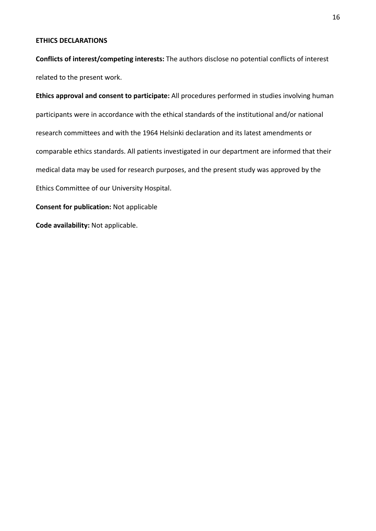## **ETHICS DECLARATIONS**

**Conflicts of interest/competing interests:** The authors disclose no potential conflicts of interest related to the present work.

**Ethics approval and consent to participate:** All procedures performed in studies involving human participants were in accordance with the ethical standards of the institutional and/or national research committees and with the 1964 Helsinki declaration and its latest amendments or comparable ethics standards. All patients investigated in our department are informed that their medical data may be used for research purposes, and the present study was approved by the Ethics Committee of our University Hospital.

**Consent for publication:** Not applicable

**Code availability:** Not applicable.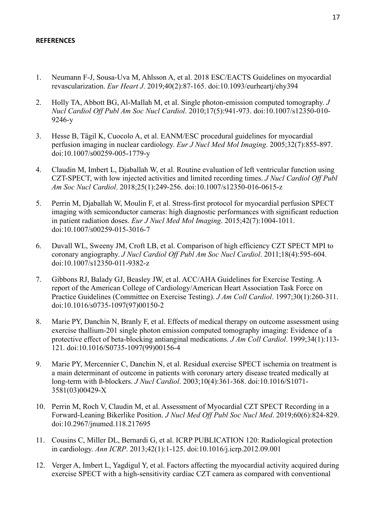# **REFERENCES**

- 1. Neumann F-J, Sousa-Uva M, Ahlsson A, et al. 2018 ESC/EACTS Guidelines on myocardial revascularization. *Eur Heart J*. 2019;40(2):87-165. doi:10.1093/eurheartj/ehy394
- 2. Holly TA, Abbott BG, Al-Mallah M, et al. Single photon-emission computed tomography. *J Nucl Cardiol Off Publ Am Soc Nucl Cardiol*. 2010;17(5):941-973. doi:10.1007/s12350-010- 9246-y
- 3. Hesse B, Tägil K, Cuocolo A, et al. EANM/ESC procedural guidelines for myocardial perfusion imaging in nuclear cardiology. *Eur J Nucl Med Mol Imaging*. 2005;32(7):855-897. doi:10.1007/s00259-005-1779-y
- 4. Claudin M, Imbert L, Djaballah W, et al. Routine evaluation of left ventricular function using CZT-SPECT, with low injected activities and limited recording times. *J Nucl Cardiol Off Publ Am Soc Nucl Cardiol*. 2018;25(1):249-256. doi:10.1007/s12350-016-0615-z
- 5. Perrin M, Djaballah W, Moulin F, et al. Stress-first protocol for myocardial perfusion SPECT imaging with semiconductor cameras: high diagnostic performances with significant reduction in patient radiation doses. *Eur J Nucl Med Mol Imaging*. 2015;42(7):1004-1011. doi:10.1007/s00259-015-3016-7
- 6. Duvall WL, Sweeny JM, Croft LB, et al. Comparison of high efficiency CZT SPECT MPI to coronary angiography. *J Nucl Cardiol Off Publ Am Soc Nucl Cardiol*. 2011;18(4):595-604. doi:10.1007/s12350-011-9382-z
- 7. Gibbons RJ, Balady GJ, Beasley JW, et al. ACC/AHA Guidelines for Exercise Testing. A report of the American College of Cardiology/American Heart Association Task Force on Practice Guidelines (Committee on Exercise Testing). *J Am Coll Cardiol*. 1997;30(1):260-311. doi:10.1016/s0735-1097(97)00150-2
- 8. Marie PY, Danchin N, Branly F, et al. Effects of medical therapy on outcome assessment using exercise thallium-201 single photon emission computed tomography imaging: Evidence of a protective effect of beta-blocking antianginal medications. *J Am Coll Cardiol*. 1999;34(1):113- 121. doi:10.1016/S0735-1097(99)00156-4
- 9. Marie PY, Mercennier C, Danchin N, et al. Residual exercise SPECT ischemia on treatment is a main determinant of outcome in patients with coronary artery disease treated medically at long-term with ß-blockers. *J Nucl Cardiol*. 2003;10(4):361-368. doi:10.1016/S1071- 3581(03)00429-X
- 10. Perrin M, Roch V, Claudin M, et al. Assessment of Myocardial CZT SPECT Recording in a Forward-Leaning Bikerlike Position. *J Nucl Med Off Publ Soc Nucl Med*. 2019;60(6):824-829. doi:10.2967/jnumed.118.217695
- 11. Cousins C, Miller DL, Bernardi G, et al. ICRP PUBLICATION 120: Radiological protection in cardiology. *Ann ICRP*. 2013;42(1):1-125. doi:10.1016/j.icrp.2012.09.001
- 12. Verger A, Imbert L, Yagdigul Y, et al. Factors affecting the myocardial activity acquired during exercise SPECT with a high-sensitivity cardiac CZT camera as compared with conventional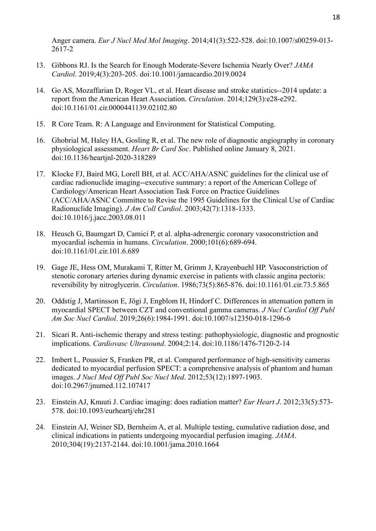Anger camera. *Eur J Nucl Med Mol Imaging*. 2014;41(3):522-528. doi:10.1007/s00259-013- 2617-2

- 13. Gibbons RJ. Is the Search for Enough Moderate-Severe Ischemia Nearly Over? *JAMA Cardiol*. 2019;4(3):203-205. doi:10.1001/jamacardio.2019.0024
- 14. Go AS, Mozaffarian D, Roger VL, et al. Heart disease and stroke statistics--2014 update: a report from the American Heart Association. *Circulation*. 2014;129(3):e28-e292. doi:10.1161/01.cir.0000441139.02102.80
- 15. R Core Team. R: A Language and Environment for Statistical Computing.
- 16. Ghobrial M, Haley HA, Gosling R, et al. The new role of diagnostic angiography in coronary physiological assessment. *Heart Br Card Soc*. Published online January 8, 2021. doi:10.1136/heartjnl-2020-318289
- 17. Klocke FJ, Baird MG, Lorell BH, et al. ACC/AHA/ASNC guidelines for the clinical use of cardiac radionuclide imaging--executive summary: a report of the American College of Cardiology/American Heart Association Task Force on Practice Guidelines (ACC/AHA/ASNC Committee to Revise the 1995 Guidelines for the Clinical Use of Cardiac Radionuclide Imaging). *J Am Coll Cardiol*. 2003;42(7):1318-1333. doi:10.1016/j.jacc.2003.08.011
- 18. Heusch G, Baumgart D, Camici P, et al. alpha-adrenergic coronary vasoconstriction and myocardial ischemia in humans. *Circulation*. 2000;101(6):689-694. doi:10.1161/01.cir.101.6.689
- 19. Gage JE, Hess OM, Murakami T, Ritter M, Grimm J, Krayenbuehl HP. Vasoconstriction of stenotic coronary arteries during dynamic exercise in patients with classic angina pectoris: reversibility by nitroglycerin. *Circulation*. 1986;73(5):865-876. doi:10.1161/01.cir.73.5.865
- 20. Oddstig J, Martinsson E, Jögi J, Engblom H, Hindorf C. Differences in attenuation pattern in myocardial SPECT between CZT and conventional gamma cameras. *J Nucl Cardiol Off Publ Am Soc Nucl Cardiol*. 2019;26(6):1984-1991. doi:10.1007/s12350-018-1296-6
- 21. Sicari R. Anti-ischemic therapy and stress testing: pathophysiologic, diagnostic and prognostic implications. *Cardiovasc Ultrasound*. 2004;2:14. doi:10.1186/1476-7120-2-14
- 22. Imbert L, Poussier S, Franken PR, et al. Compared performance of high-sensitivity cameras dedicated to myocardial perfusion SPECT: a comprehensive analysis of phantom and human images. *J Nucl Med Off Publ Soc Nucl Med*. 2012;53(12):1897-1903. doi:10.2967/jnumed.112.107417
- 23. Einstein AJ, Knuuti J. Cardiac imaging: does radiation matter? *Eur Heart J*. 2012;33(5):573- 578. doi:10.1093/eurheartj/ehr281
- 24. Einstein AJ, Weiner SD, Bernheim A, et al. Multiple testing, cumulative radiation dose, and clinical indications in patients undergoing myocardial perfusion imaging. *JAMA*. 2010;304(19):2137-2144. doi:10.1001/jama.2010.1664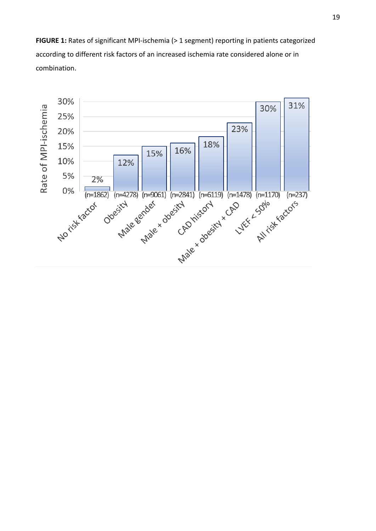**FIGURE 1:** Rates of significant MPI-ischemia (> 1 segment) reporting in patients categorized according to different risk factors of an increased ischemia rate considered alone or in combination.

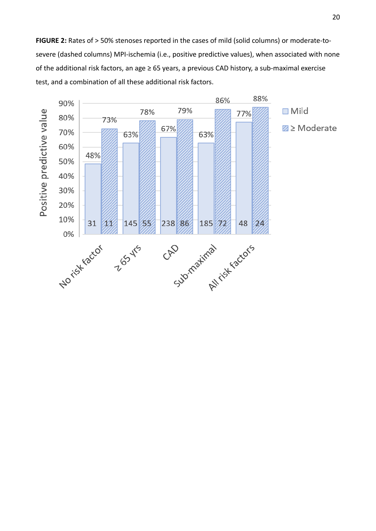**FIGURE 2:** Rates of > 50% stenoses reported in the cases of mild (solid columns) or moderate-tosevere (dashed columns) MPI-ischemia (i.e., positive predictive values), when associated with none of the additional risk factors, an age ≥ 65 years, a previous CAD history, a sub-maximal exercise test, and a combination of all these additional risk factors.

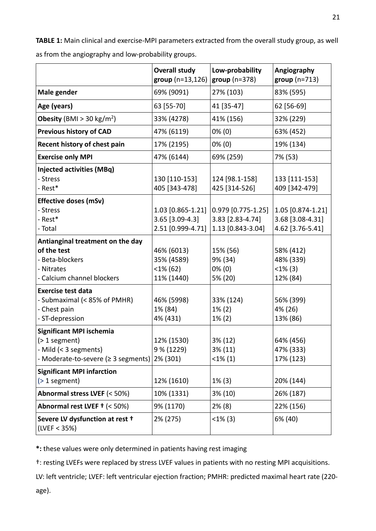**TABLE 1:** Main clinical and exercise-MPI parameters extracted from the overall study group, as well as from the angiography and low-probability groups.

|                                                                                                                     | <b>Overall study</b><br>$group(n=13,126)$                 | Low-probability<br>$group(n=378)$                           | Angiography<br>$group(n=713)$                             |
|---------------------------------------------------------------------------------------------------------------------|-----------------------------------------------------------|-------------------------------------------------------------|-----------------------------------------------------------|
| Male gender                                                                                                         | 69% (9091)                                                | 27% (103)                                                   | 83% (595)                                                 |
| Age (years)                                                                                                         | 63 [55-70]                                                | 41 [35-47]                                                  | 62 [56-69]                                                |
| <b>Obesity</b> (BMI > 30 kg/m <sup>2</sup> )                                                                        | 33% (4278)                                                | 41% (156)                                                   | 32% (229)                                                 |
| <b>Previous history of CAD</b>                                                                                      | 47% (6119)                                                | $0\%$ (0)                                                   | 63% (452)                                                 |
| Recent history of chest pain                                                                                        | 17% (2195)                                                | $0\%$ (0)                                                   | 19% (134)                                                 |
| <b>Exercise only MPI</b>                                                                                            | 47% (6144)                                                | 69% (259)                                                   | 7% (53)                                                   |
| <b>Injected activities (MBq)</b><br>- Stress<br>- Rest*                                                             | 130 [110-153]<br>405 [343-478]                            | 124 [98.1-158]<br>425 [314-526]                             | 133 [111-153]<br>409 [342-479]                            |
| <b>Effective doses (mSv)</b><br>- Stress<br>- Rest*<br>- Total                                                      | 1.03 [0.865-1.21]<br>3.65 [3.09-4.3]<br>2.51 [0.999-4.71] | 0.979 [0.775-1.25]<br>3.83 [2.83-4.74]<br>1.13 [0.843-3.04] | 1.05 [0.874-1.21]<br>3.68 [3.08-4.31]<br>4.62 [3.76-5.41] |
| Antianginal treatment on the day<br>of the test<br>- Beta-blockers<br>- Nitrates<br>- Calcium channel blockers      | 46% (6013)<br>35% (4589)<br>$<$ 1% (62)<br>11% (1440)     | 15% (56)<br>9% (34)<br>$0\%$ (0)<br>5% (20)                 | 58% (412)<br>48% (339)<br>$<1\%$ (3)<br>12% (84)          |
| <b>Exercise test data</b><br>- Submaximal (< 85% of PMHR)<br>- Chest pain<br>- ST-depression                        | 46% (5998)<br>1% (84)<br>4% (431)                         | 33% (124)<br>$1\% (2)$<br>$1\% (2)$                         | 56% (399)<br>4% (26)<br>13% (86)                          |
| <b>Significant MPI ischemia</b><br>$($ > 1 segment)<br>- Mild (< 3 segments)<br>- Moderate-to-severe (≥ 3 segments) | 12% (1530)<br>9 % (1229)<br>2% (301)                      | 3% (12)<br>3% (11)<br>$<$ 1% $(1)$                          | 64% (456)<br>47% (333)<br>17% (123)                       |
| <b>Significant MPI infarction</b><br>$($ 2 1 segment)                                                               | 12% (1610)                                                | $1\%$ (3)                                                   | 20% (144)                                                 |
| Abnormal stress LVEF (< 50%)                                                                                        | 10% (1331)                                                | 3% (10)                                                     | 26% (187)                                                 |
| Abnormal rest LVEF + (< 50%)                                                                                        | 9% (1170)                                                 | $2\%$ (8)                                                   | 22% (156)                                                 |
| Severe LV dysfunction at rest +<br>(LVEF < 35%)                                                                     | 2% (275)                                                  | $<1\%$ (3)                                                  | 6% (40)                                                   |

**\*:** these values were only determined in patients having rest imaging

†: resting LVEFs were replaced by stress LVEF values in patients with no resting MPI acquisitions.

LV: left ventricle; LVEF: left ventricular ejection fraction; PMHR: predicted maximal heart rate (220 age).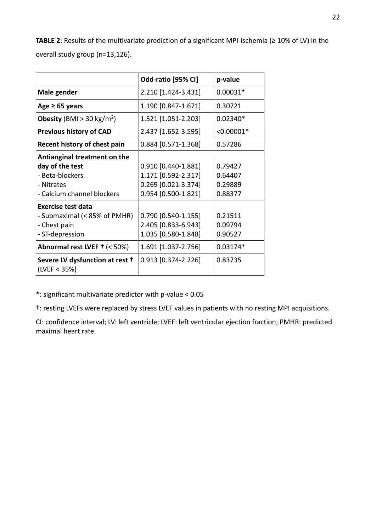**TABLE 2**: Results of the multivariate prediction of a significant MPI-ischemia (≥ 10% of LV) in the overall study group (n=13,126).

|                                                                                                                                      | Odd-ratio [95% CI]                                                                       | p-value                                  |
|--------------------------------------------------------------------------------------------------------------------------------------|------------------------------------------------------------------------------------------|------------------------------------------|
| Male gender                                                                                                                          | 2.210 [1.424-3.431]                                                                      | $0.00031*$                               |
| Age $\geq 65$ years                                                                                                                  | 1.190 [0.847-1.671]                                                                      | 0.30721                                  |
| <b>Obesity</b> (BMI > 30 kg/m <sup>2</sup> )                                                                                         | 1.521 [1.051-2.203]                                                                      | $0.02340*$                               |
| <b>Previous history of CAD</b>                                                                                                       | 2.437 [1.652-3.595]                                                                      | $< 0.00001*$                             |
| Recent history of chest pain                                                                                                         | $0.884$ [0.571-1.368]                                                                    | 0.57286                                  |
| Antianginal treatment on the<br>day of the test<br>- Beta-blockers<br>- Nitrates<br>- Calcium channel blockers<br>Exercise test data | 0.910 [0.440-1.881]<br>1.171 [0.592-2.317]<br>0.269 [0.021-3.374]<br>0.954 [0.500-1.821] | 0.79427<br>0.64407<br>0.29889<br>0.88377 |
| - Submaximal (< 85% of PMHR)<br>- Chest pain<br>- ST-depression                                                                      | $0.790$ [0.540-1.155]<br>2.405 [0.833-6.943]<br>1.035 [0.580-1.848]                      | 0.21511<br>0.09794<br>0.90527            |
| Abnormal rest LVEF + (< 50%)                                                                                                         | 1.691 [1.037-2.756]                                                                      | $0.03174*$                               |
| Severe LV dysfunction at rest +<br>(LVEF < 35%)                                                                                      | 0.913 [0.374-2.226]                                                                      | 0.83735                                  |

\*: significant multivariate predictor with p-value < 0.05

†: resting LVEFs were replaced by stress LVEF values in patients with no resting MPI acquisitions.

CI: confidence interval; LV: left ventricle; LVEF: left ventricular ejection fraction; PMHR: predicted maximal heart rate.